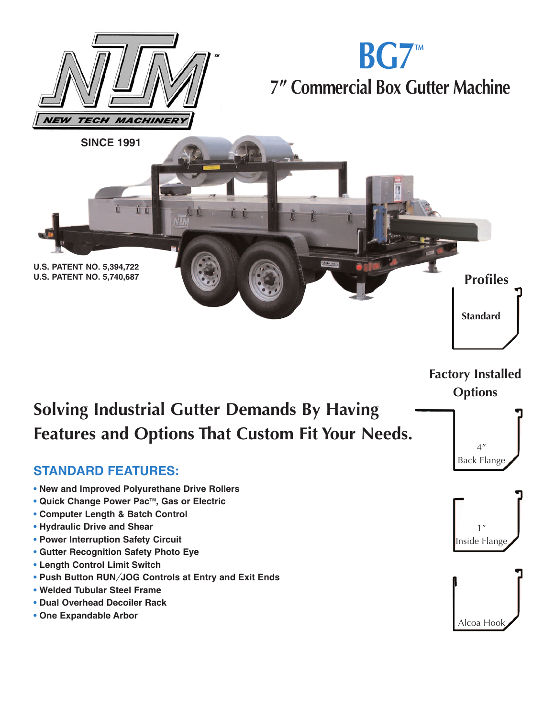

**Factory Installed Options**

# **Solving Industrial Gutter Demands By Having Features and Options That Custom Fit Your Needs.**

#### **STANDARD FEATURES:**

- **• New and Improved Polyurethane Drive Rollers**
- **Quick Change Power PacTM, Gas or Electric**
- **Computer Length & Batch Control**
- **Hydraulic Drive and Shear**
- **Power Interruption Safety Circuit**
- **Gutter Recognition Safety Photo Eye**
- **• Length Control Limit Switch**
- **• Push Button RUN***/***JOG Controls at Entry and Exit Ends**
- **• Welded Tubular Steel Frame**
- **Dual Overhead Decoiler Rack**
- **• One Expandable Arbor**